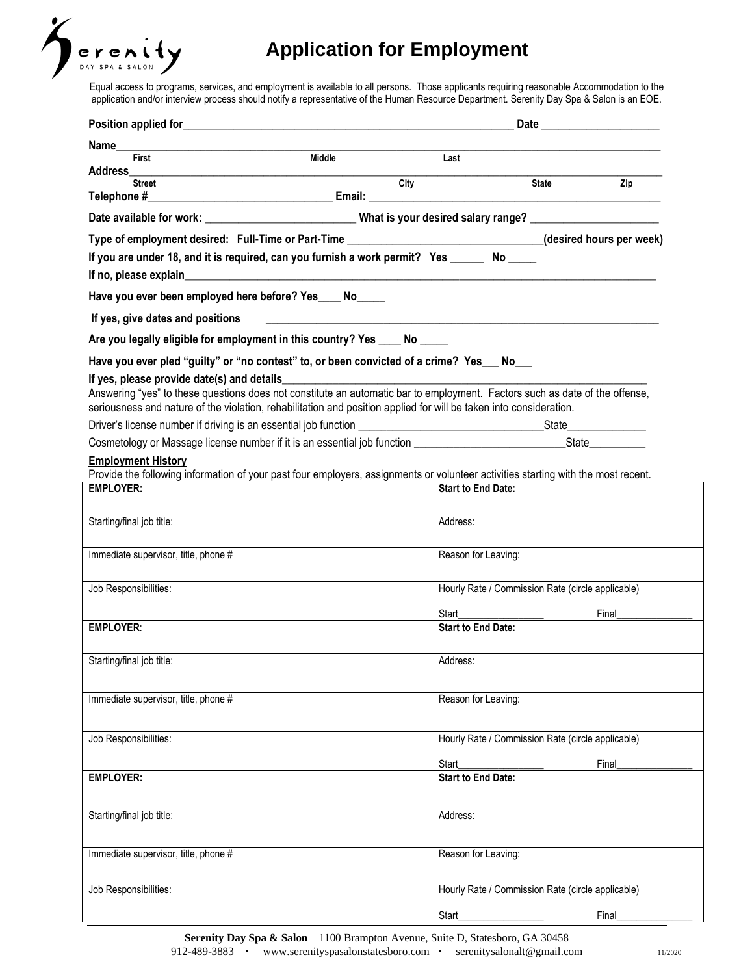

# **Application for Employment**

Equal access to programs, services, and employment is available to all persons. Those applicants requiring reasonable Accommodation to the application and/or interview process should notify a representative of the Human Resource Department. Serenity Day Spa & Salon is an EOE.

| Name                                                                                                                                                                                                                                              |                                                   |  |  |
|---------------------------------------------------------------------------------------------------------------------------------------------------------------------------------------------------------------------------------------------------|---------------------------------------------------|--|--|
| <b>Middle</b><br>First                                                                                                                                                                                                                            | Last                                              |  |  |
| City<br><b>Street</b>                                                                                                                                                                                                                             | <b>State</b><br>Zip                               |  |  |
| Date available for work: _________________________________What is your desired salary range? _________________                                                                                                                                    |                                                   |  |  |
|                                                                                                                                                                                                                                                   |                                                   |  |  |
| Type of employment desired: Full-Time or Part-Time _____________________________(desired hours per week)<br>If you are under 18, and it is required, can you furnish a work permit? Yes ______ No ____                                            |                                                   |  |  |
|                                                                                                                                                                                                                                                   |                                                   |  |  |
| Have you ever been employed here before? Yes____ No_____                                                                                                                                                                                          |                                                   |  |  |
| If yes, give dates and positions<br><u> 1989 - Johann Barn, amerikan bernama di sebagai bernama di sebagai bernama di sebagai bernama di sebagai bern</u>                                                                                         |                                                   |  |  |
| Are you legally eligible for employment in this country? Yes ____ No ____                                                                                                                                                                         |                                                   |  |  |
| Have you ever pled "guilty" or "no contest" to, or been convicted of a crime? Yes __ No__                                                                                                                                                         |                                                   |  |  |
| If yes, please provide date(s) and details                                                                                                                                                                                                        |                                                   |  |  |
| Answering "yes" to these questions does not constitute an automatic bar to employment. Factors such as date of the offense,<br>seriousness and nature of the violation, rehabilitation and position applied for will be taken into consideration. |                                                   |  |  |
|                                                                                                                                                                                                                                                   |                                                   |  |  |
|                                                                                                                                                                                                                                                   |                                                   |  |  |
| <b>Employment History</b><br>Provide the following information of your past four employers, assignments or volunteer activities starting with the most recent.                                                                                    |                                                   |  |  |
| <b>EMPLOYER:</b>                                                                                                                                                                                                                                  | <b>Start to End Date:</b>                         |  |  |
|                                                                                                                                                                                                                                                   |                                                   |  |  |
| Starting/final job title:                                                                                                                                                                                                                         | Address:                                          |  |  |
| Immediate supervisor, title, phone #                                                                                                                                                                                                              | Reason for Leaving:                               |  |  |
|                                                                                                                                                                                                                                                   |                                                   |  |  |
| Job Responsibilities:                                                                                                                                                                                                                             | Hourly Rate / Commission Rate (circle applicable) |  |  |
|                                                                                                                                                                                                                                                   | Start<br>Final                                    |  |  |
| <b>EMPLOYER:</b>                                                                                                                                                                                                                                  | <b>Start to End Date:</b>                         |  |  |
| Starting/final job title:                                                                                                                                                                                                                         | Address:                                          |  |  |
|                                                                                                                                                                                                                                                   |                                                   |  |  |
| Immediate supervisor, title, phone #                                                                                                                                                                                                              | Reason for Leaving:                               |  |  |
|                                                                                                                                                                                                                                                   |                                                   |  |  |
| Job Responsibilities:                                                                                                                                                                                                                             | Hourly Rate / Commission Rate (circle applicable) |  |  |
|                                                                                                                                                                                                                                                   | Start<br>Final                                    |  |  |
| <b>EMPLOYER:</b>                                                                                                                                                                                                                                  | <b>Start to End Date:</b>                         |  |  |
|                                                                                                                                                                                                                                                   |                                                   |  |  |
| Starting/final job title:                                                                                                                                                                                                                         | Address:                                          |  |  |
|                                                                                                                                                                                                                                                   |                                                   |  |  |
| Immediate supervisor, title, phone #                                                                                                                                                                                                              | Reason for Leaving:                               |  |  |
|                                                                                                                                                                                                                                                   |                                                   |  |  |
| Job Responsibilities:                                                                                                                                                                                                                             | Hourly Rate / Commission Rate (circle applicable) |  |  |
|                                                                                                                                                                                                                                                   | Start<br>Final                                    |  |  |

**Serenity Day Spa & Salon** 1100 Brampton Avenue, Suite D, Statesboro, GA 30458 912-489-3883 www.serenityspasalonstatesboro.com [serenitysalonalt@gmail.com](mailto:serenitysalonalt@gmail.com) 11/2020